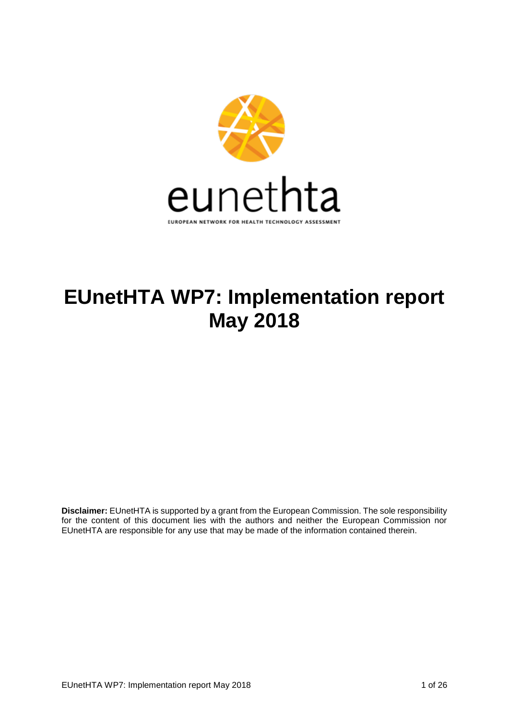

# **EUnetHTA WP7: Implementation report May 2018**

**Disclaimer:** EUnetHTA is supported by a grant from the European Commission. The sole responsibility for the content of this document lies with the authors and neither the European Commission nor EUnetHTA are responsible for any use that may be made of the information contained therein.

EUnetHTA WP7: Implementation report May 2018 1 06 26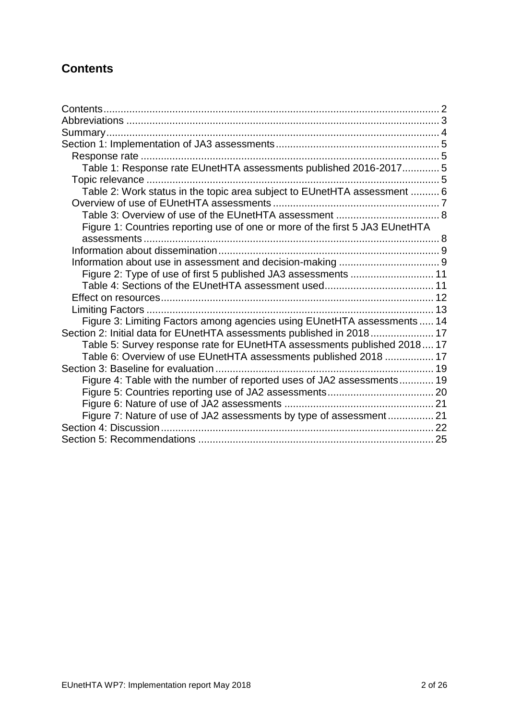# <span id="page-1-0"></span>**Contents**

| Table 1: Response rate EUnetHTA assessments published 2016-2017 5            |  |
|------------------------------------------------------------------------------|--|
|                                                                              |  |
| Table 2: Work status in the topic area subject to EUnetHTA assessment  6     |  |
|                                                                              |  |
|                                                                              |  |
| Figure 1: Countries reporting use of one or more of the first 5 JA3 EUnetHTA |  |
|                                                                              |  |
|                                                                              |  |
|                                                                              |  |
| Figure 2: Type of use of first 5 published JA3 assessments  11               |  |
|                                                                              |  |
|                                                                              |  |
|                                                                              |  |
| Figure 3: Limiting Factors among agencies using EUnetHTA assessments  14     |  |
| Section 2: Initial data for EUnetHTA assessments published in 2018 17        |  |
| Table 5: Survey response rate for EUnetHTA assessments published 2018 17     |  |
| Table 6: Overview of use EUnetHTA assessments published 2018  17             |  |
|                                                                              |  |
| Figure 4: Table with the number of reported uses of JA2 assessments 19       |  |
|                                                                              |  |
|                                                                              |  |
| Figure 7: Nature of use of JA2 assessments by type of assessment 21          |  |
|                                                                              |  |
|                                                                              |  |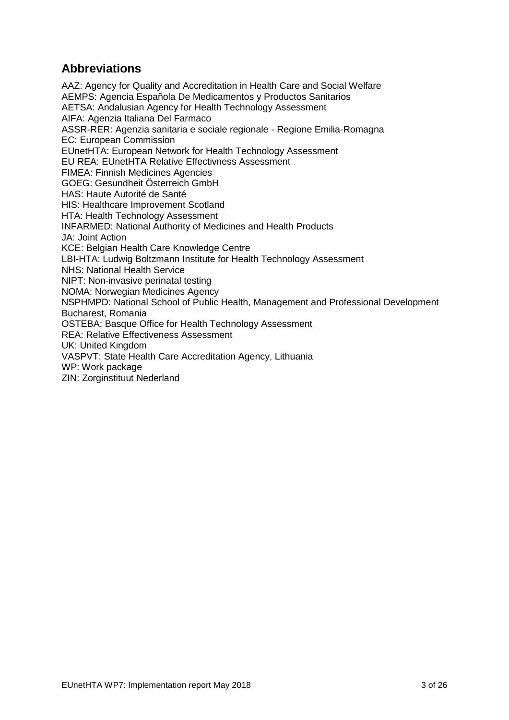# <span id="page-2-0"></span>**Abbreviations**

AAZ: Agency for Quality and Accreditation in Health Care and Social Welfare AEMPS: Agencia Española De Medicamentos y Productos Sanitarios AETSA: Andalusian Agency for Health Technology Assessment AIFA: Agenzia Italiana Del Farmaco ASSR-RER: Agenzia sanitaria e sociale regionale - Regione Emilia-Romagna EC: European Commission EUnetHTA: European Network for Health Technology Assessment EU REA: EUnetHTA Relative Effectivness Assessment FIMEA: Finnish Medicines Agencies GOEG: Gesundheit Österreich GmbH HAS: Haute Autorité de Santé HIS: Healthcare Improvement Scotland HTA: Health Technology Assessment INFARMED: National Authority of Medicines and Health Products JA: Joint Action KCE: Belgian Health Care Knowledge Centre LBI-HTA: Ludwig Boltzmann Institute for Health Technology Assessment NHS: National Health Service NIPT: Non-invasive perinatal testing NOMA: Norwegian Medicines Agency NSPHMPD: National School of Public Health, Management and Professional Development Bucharest, Romania OSTEBA: Basque Office for Health Technology Assessment REA: Relative Effectiveness Assessment UK: United Kingdom VASPVT: State Health Care Accreditation Agency, Lithuania WP: Work package ZIN: Zorginstituut Nederland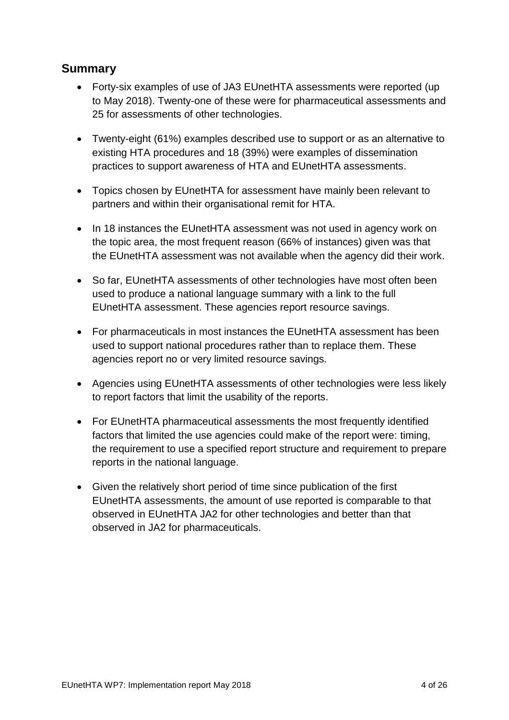# <span id="page-3-0"></span>**Summary**

- Forty-six examples of use of JA3 EUnetHTA assessments were reported (up to May 2018). Twenty-one of these were for pharmaceutical assessments and 25 for assessments of other technologies.
- Twenty-eight (61%) examples described use to support or as an alternative to existing HTA procedures and 18 (39%) were examples of dissemination practices to support awareness of HTA and EUnetHTA assessments.
- Topics chosen by EUnetHTA for assessment have mainly been relevant to partners and within their organisational remit for HTA.
- In 18 instances the EUnetHTA assessment was not used in agency work on the topic area, the most frequent reason (66% of instances) given was that the EUnetHTA assessment was not available when the agency did their work.
- So far, EUnetHTA assessments of other technologies have most often been used to produce a national language summary with a link to the full EUnetHTA assessment. These agencies report resource savings.
- For pharmaceuticals in most instances the EUnetHTA assessment has been used to support national procedures rather than to replace them. These agencies report no or very limited resource savings.
- Agencies using EUnetHTA assessments of other technologies were less likely to report factors that limit the usability of the reports.
- For EUnetHTA pharmaceutical assessments the most frequently identified factors that limited the use agencies could make of the report were: timing, the requirement to use a specified report structure and requirement to prepare reports in the national language.
- Given the relatively short period of time since publication of the first EUnetHTA assessments, the amount of use reported is comparable to that observed in EUnetHTA JA2 for other technologies and better than that observed in JA2 for pharmaceuticals.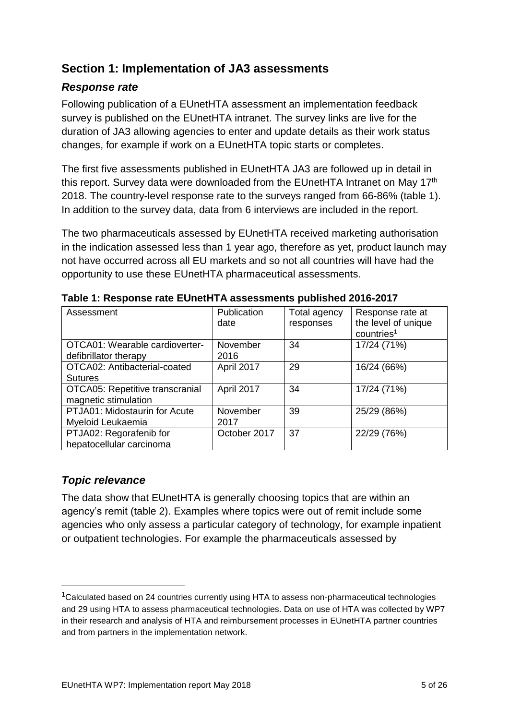# <span id="page-4-0"></span>**Section 1: Implementation of JA3 assessments**

# <span id="page-4-1"></span>*Response rate*

Following publication of a EUnetHTA assessment an implementation feedback survey is published on the EUnetHTA intranet. The survey links are live for the duration of JA3 allowing agencies to enter and update details as their work status changes, for example if work on a EUnetHTA topic starts or completes.

The first five assessments published in EUnetHTA JA3 are followed up in detail in this report. Survey data were downloaded from the EUnetHTA Intranet on May 17<sup>th</sup> 2018. The country-level response rate to the surveys ranged from 66-86% (table 1). In addition to the survey data, data from 6 interviews are included in the report.

The two pharmaceuticals assessed by EUnetHTA received marketing authorisation in the indication assessed less than 1 year ago, therefore as yet, product launch may not have occurred across all EU markets and so not all countries will have had the opportunity to use these EUnetHTA pharmaceutical assessments.

| Assessment                                                     | Publication<br>date | Total agency<br>responses | Response rate at<br>the level of unique<br>countries <sup>1</sup> |
|----------------------------------------------------------------|---------------------|---------------------------|-------------------------------------------------------------------|
| OTCA01: Wearable cardioverter-<br>defibrillator therapy        | November<br>2016    | 34                        | 17/24 (71%)                                                       |
| OTCA02: Antibacterial-coated<br><b>Sutures</b>                 | April 2017          | 29                        | 16/24 (66%)                                                       |
| <b>OTCA05: Repetitive transcranial</b><br>magnetic stimulation | April 2017          | 34                        | 17/24 (71%)                                                       |
| PTJA01: Midostaurin for Acute<br>Myeloid Leukaemia             | November<br>2017    | 39                        | 25/29 (86%)                                                       |
| PTJA02: Regorafenib for<br>hepatocellular carcinoma            | October 2017        | 37                        | 22/29 (76%)                                                       |

<span id="page-4-2"></span>**Table 1: Response rate EUnetHTA assessments published 2016-2017**

# <span id="page-4-3"></span>*Topic relevance*

1

The data show that EUnetHTA is generally choosing topics that are within an agency's remit (table 2). Examples where topics were out of remit include some agencies who only assess a particular category of technology, for example inpatient or outpatient technologies. For example the pharmaceuticals assessed by

<sup>&</sup>lt;sup>1</sup>Calculated based on 24 countries currently using HTA to assess non-pharmaceutical technologies and 29 using HTA to assess pharmaceutical technologies. Data on use of HTA was collected by WP7 in their research and analysis of HTA and reimbursement processes in EUnetHTA partner countries and from partners in the implementation network.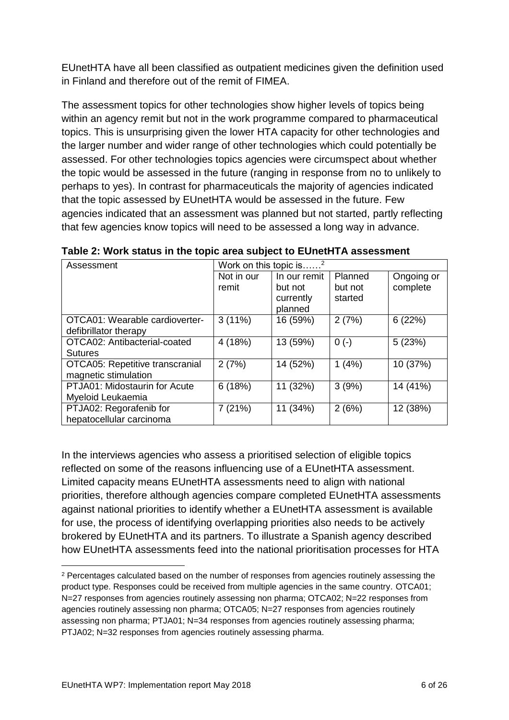EUnetHTA have all been classified as outpatient medicines given the definition used in Finland and therefore out of the remit of FIMEA.

The assessment topics for other technologies show higher levels of topics being within an agency remit but not in the work programme compared to pharmaceutical topics. This is unsurprising given the lower HTA capacity for other technologies and the larger number and wider range of other technologies which could potentially be assessed. For other technologies topics agencies were circumspect about whether the topic would be assessed in the future (ranging in response from no to unlikely to perhaps to yes). In contrast for pharmaceuticals the majority of agencies indicated that the topic assessed by EUnetHTA would be assessed in the future. Few agencies indicated that an assessment was planned but not started, partly reflecting that few agencies know topics will need to be assessed a long way in advance.

| Assessment                             | Work on this topic is <sup>2</sup> |              |         |            |
|----------------------------------------|------------------------------------|--------------|---------|------------|
|                                        | Not in our                         | In our remit | Planned | Ongoing or |
|                                        | remit                              | but not      | but not | complete   |
|                                        |                                    | currently    | started |            |
|                                        |                                    | planned      |         |            |
| OTCA01: Wearable cardioverter-         | $3(11\%)$                          | 16 (59%)     | 2(7%)   | 6(22%)     |
| defibrillator therapy                  |                                    |              |         |            |
| OTCA02: Antibacterial-coated           | 4 (18%)                            | 13 (59%)     | $0(-)$  | 5(23%)     |
| <b>Sutures</b>                         |                                    |              |         |            |
| <b>OTCA05: Repetitive transcranial</b> | 2(7%)                              | 14 (52%)     | 1(4%)   | 10 (37%)   |
| magnetic stimulation                   |                                    |              |         |            |
| PTJA01: Midostaurin for Acute          | 6(18%)                             | 11 (32%)     | 3(9%)   | 14 (41%)   |
| Myeloid Leukaemia                      |                                    |              |         |            |
| PTJA02: Regorafenib for                | 7(21%)                             | 11 (34%)     | 2(6%)   | 12 (38%)   |
| hepatocellular carcinoma               |                                    |              |         |            |

<span id="page-5-0"></span>**Table 2: Work status in the topic area subject to EUnetHTA assessment**

In the interviews agencies who assess a prioritised selection of eligible topics reflected on some of the reasons influencing use of a EUnetHTA assessment. Limited capacity means EUnetHTA assessments need to align with national priorities, therefore although agencies compare completed EUnetHTA assessments against national priorities to identify whether a EUnetHTA assessment is available for use, the process of identifying overlapping priorities also needs to be actively brokered by EUnetHTA and its partners. To illustrate a Spanish agency described how EUnetHTA assessments feed into the national prioritisation processes for HTA

<sup>&</sup>lt;u>.</u> <sup>2</sup> Percentages calculated based on the number of responses from agencies routinely assessing the product type. Responses could be received from multiple agencies in the same country. OTCA01; N=27 responses from agencies routinely assessing non pharma; OTCA02; N=22 responses from agencies routinely assessing non pharma; OTCA05; N=27 responses from agencies routinely assessing non pharma; PTJA01; N=34 responses from agencies routinely assessing pharma; PTJA02; N=32 responses from agencies routinely assessing pharma.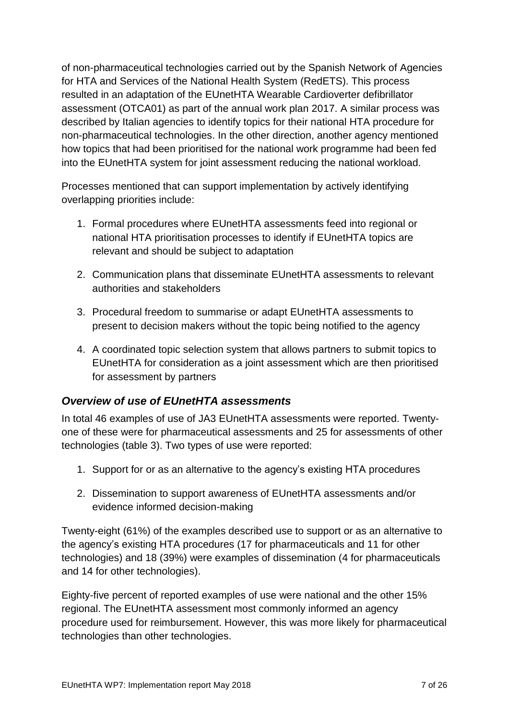of non-pharmaceutical technologies carried out by the Spanish Network of Agencies for HTA and Services of the National Health System (RedETS). This process resulted in an adaptation of the EUnetHTA Wearable Cardioverter defibrillator assessment (OTCA01) as part of the annual work plan 2017. A similar process was described by Italian agencies to identify topics for their national HTA procedure for non-pharmaceutical technologies. In the other direction, another agency mentioned how topics that had been prioritised for the national work programme had been fed into the EUnetHTA system for joint assessment reducing the national workload.

Processes mentioned that can support implementation by actively identifying overlapping priorities include:

- 1. Formal procedures where EUnetHTA assessments feed into regional or national HTA prioritisation processes to identify if EUnetHTA topics are relevant and should be subject to adaptation
- 2. Communication plans that disseminate EUnetHTA assessments to relevant authorities and stakeholders
- 3. Procedural freedom to summarise or adapt EUnetHTA assessments to present to decision makers without the topic being notified to the agency
- 4. A coordinated topic selection system that allows partners to submit topics to EUnetHTA for consideration as a joint assessment which are then prioritised for assessment by partners

# <span id="page-6-0"></span>*Overview of use of EUnetHTA assessments*

In total 46 examples of use of JA3 EUnetHTA assessments were reported. Twentyone of these were for pharmaceutical assessments and 25 for assessments of other technologies (table 3). Two types of use were reported:

- 1. Support for or as an alternative to the agency's existing HTA procedures
- 2. Dissemination to support awareness of EUnetHTA assessments and/or evidence informed decision-making

Twenty-eight (61%) of the examples described use to support or as an alternative to the agency's existing HTA procedures (17 for pharmaceuticals and 11 for other technologies) and 18 (39%) were examples of dissemination (4 for pharmaceuticals and 14 for other technologies).

Eighty-five percent of reported examples of use were national and the other 15% regional. The EUnetHTA assessment most commonly informed an agency procedure used for reimbursement. However, this was more likely for pharmaceutical technologies than other technologies.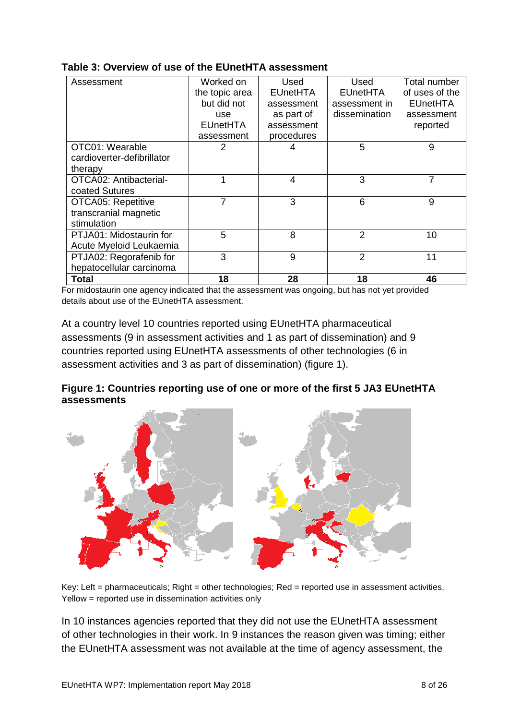| Assessment                 | Worked on       | Used            | Used            | Total number    |
|----------------------------|-----------------|-----------------|-----------------|-----------------|
|                            | the topic area  | <b>EUnetHTA</b> | <b>EUnetHTA</b> | of uses of the  |
|                            | but did not     | assessment      | assessment in   | <b>EUnetHTA</b> |
|                            | use             | as part of      | dissemination   | assessment      |
|                            | <b>EUnetHTA</b> | assessment      |                 | reported        |
|                            | assessment      | procedures      |                 |                 |
| OTC01: Wearable            | 2               | 4               | 5               | 9               |
| cardioverter-defibrillator |                 |                 |                 |                 |
| therapy                    |                 |                 |                 |                 |
| OTCA02: Antibacterial-     | 1               | $\overline{4}$  | 3               | 7               |
| coated Sutures             |                 |                 |                 |                 |
| <b>OTCA05: Repetitive</b>  | 7               | 3               | 6               | 9               |
| transcranial magnetic      |                 |                 |                 |                 |
| stimulation                |                 |                 |                 |                 |
| PTJA01: Midostaurin for    | 5               | 8               | $\overline{2}$  | 10              |
| Acute Myeloid Leukaemia    |                 |                 |                 |                 |
| PTJA02: Regorafenib for    | 3               | 9               | $\overline{2}$  | 11              |
| hepatocellular carcinoma   |                 |                 |                 |                 |
| Total                      | 18              | 28              | 18              | 46              |

### <span id="page-7-0"></span>**Table 3: Overview of use of the EUnetHTA assessment**

For midostaurin one agency indicated that the assessment was ongoing, but has not yet provided details about use of the EUnetHTA assessment.

At a country level 10 countries reported using EUnetHTA pharmaceutical assessments (9 in assessment activities and 1 as part of dissemination) and 9 countries reported using EUnetHTA assessments of other technologies (6 in assessment activities and 3 as part of dissemination) (figure 1).

### <span id="page-7-1"></span>**Figure 1: Countries reporting use of one or more of the first 5 JA3 EUnetHTA assessments**



Key: Left = pharmaceuticals; Right = other technologies; Red = reported use in assessment activities, Yellow = reported use in dissemination activities only

In 10 instances agencies reported that they did not use the EUnetHTA assessment of other technologies in their work. In 9 instances the reason given was timing; either the EUnetHTA assessment was not available at the time of agency assessment, the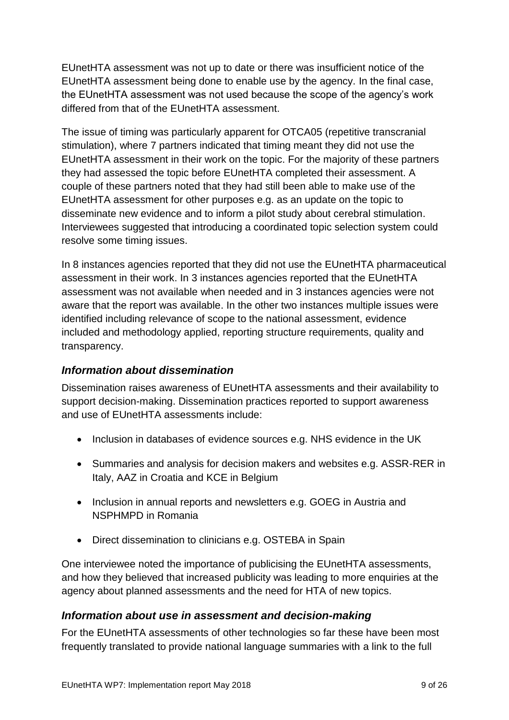EUnetHTA assessment was not up to date or there was insufficient notice of the EUnetHTA assessment being done to enable use by the agency. In the final case, the EUnetHTA assessment was not used because the scope of the agency's work differed from that of the EUnetHTA assessment.

The issue of timing was particularly apparent for OTCA05 (repetitive transcranial stimulation), where 7 partners indicated that timing meant they did not use the EUnetHTA assessment in their work on the topic. For the majority of these partners they had assessed the topic before EUnetHTA completed their assessment. A couple of these partners noted that they had still been able to make use of the EUnetHTA assessment for other purposes e.g. as an update on the topic to disseminate new evidence and to inform a pilot study about cerebral stimulation. Interviewees suggested that introducing a coordinated topic selection system could resolve some timing issues.

In 8 instances agencies reported that they did not use the EUnetHTA pharmaceutical assessment in their work. In 3 instances agencies reported that the EUnetHTA assessment was not available when needed and in 3 instances agencies were not aware that the report was available. In the other two instances multiple issues were identified including relevance of scope to the national assessment, evidence included and methodology applied, reporting structure requirements, quality and transparency.

## <span id="page-8-0"></span>*Information about dissemination*

Dissemination raises awareness of EUnetHTA assessments and their availability to support decision-making. Dissemination practices reported to support awareness and use of EUnetHTA assessments include:

- Inclusion in databases of evidence sources e.g. NHS evidence in the UK
- Summaries and analysis for decision makers and websites e.g. ASSR-RER in Italy, AAZ in Croatia and KCE in Belgium
- Inclusion in annual reports and newsletters e.g. GOEG in Austria and NSPHMPD in Romania
- Direct dissemination to clinicians e.g. OSTEBA in Spain

One interviewee noted the importance of publicising the EUnetHTA assessments, and how they believed that increased publicity was leading to more enquiries at the agency about planned assessments and the need for HTA of new topics.

## <span id="page-8-1"></span>*Information about use in assessment and decision-making*

For the EUnetHTA assessments of other technologies so far these have been most frequently translated to provide national language summaries with a link to the full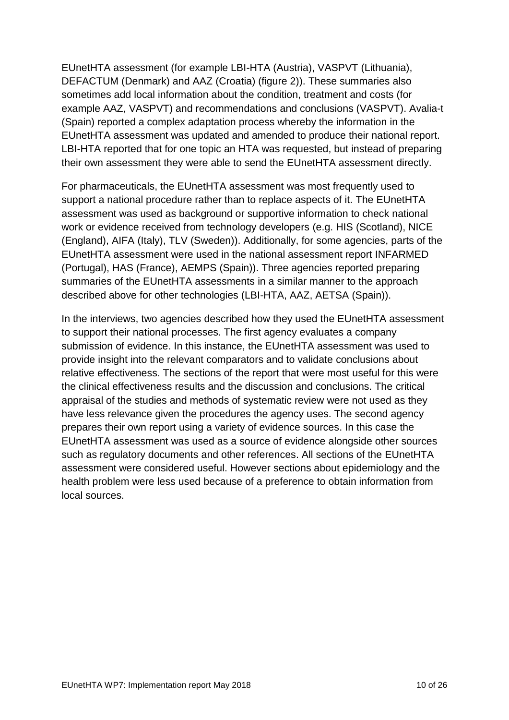EUnetHTA assessment (for example LBI-HTA (Austria), VASPVT (Lithuania), DEFACTUM (Denmark) and AAZ (Croatia) (figure 2)). These summaries also sometimes add local information about the condition, treatment and costs (for example AAZ, VASPVT) and recommendations and conclusions (VASPVT). Avalia-t (Spain) reported a complex adaptation process whereby the information in the EUnetHTA assessment was updated and amended to produce their national report. LBI-HTA reported that for one topic an HTA was requested, but instead of preparing their own assessment they were able to send the EUnetHTA assessment directly.

For pharmaceuticals, the EUnetHTA assessment was most frequently used to support a national procedure rather than to replace aspects of it. The EUnetHTA assessment was used as background or supportive information to check national work or evidence received from technology developers (e.g. HIS (Scotland), NICE (England), AIFA (Italy), TLV (Sweden)). Additionally, for some agencies, parts of the EUnetHTA assessment were used in the national assessment report INFARMED (Portugal), HAS (France), AEMPS (Spain)). Three agencies reported preparing summaries of the EUnetHTA assessments in a similar manner to the approach described above for other technologies (LBI-HTA, AAZ, AETSA (Spain)).

In the interviews, two agencies described how they used the EUnetHTA assessment to support their national processes. The first agency evaluates a company submission of evidence. In this instance, the EUnetHTA assessment was used to provide insight into the relevant comparators and to validate conclusions about relative effectiveness. The sections of the report that were most useful for this were the clinical effectiveness results and the discussion and conclusions. The critical appraisal of the studies and methods of systematic review were not used as they have less relevance given the procedures the agency uses. The second agency prepares their own report using a variety of evidence sources. In this case the EUnetHTA assessment was used as a source of evidence alongside other sources such as regulatory documents and other references. All sections of the EUnetHTA assessment were considered useful. However sections about epidemiology and the health problem were less used because of a preference to obtain information from local sources.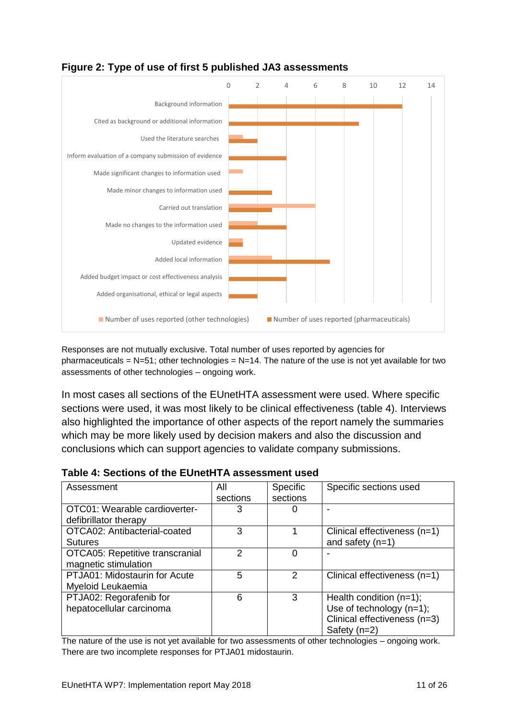

# <span id="page-10-0"></span>**Figure 2: Type of use of first 5 published JA3 assessments**

Responses are not mutually exclusive. Total number of uses reported by agencies for pharmaceuticals =  $N=51$ ; other technologies =  $N=14$ . The nature of the use is not yet available for two assessments of other technologies – ongoing work.

In most cases all sections of the EUnetHTA assessment were used. Where specific sections were used, it was most likely to be clinical effectiveness (table 4). Interviews also highlighted the importance of other aspects of the report namely the summaries which may be more likely used by decision makers and also the discussion and conclusions which can support agencies to validate company submissions.

| Assessment                      | All           | <b>Specific</b> | Specific sections used       |
|---------------------------------|---------------|-----------------|------------------------------|
|                                 | sections      | sections        |                              |
| OTC01: Wearable cardioverter-   | 3             | O               |                              |
| defibrillator therapy           |               |                 |                              |
| OTCA02: Antibacterial-coated    | 3             |                 | Clinical effectiveness (n=1) |
| <b>Sutures</b>                  |               |                 | and safety $(n=1)$           |
| OTCA05: Repetitive transcranial | $\mathcal{P}$ | 0               |                              |
| magnetic stimulation            |               |                 |                              |
| PTJA01: Midostaurin for Acute   | 5             | 2               | Clinical effectiveness (n=1) |
| Myeloid Leukaemia               |               |                 |                              |
| PTJA02: Regorafenib for         | 6             | 3               | Health condition $(n=1)$ ;   |
| hepatocellular carcinoma        |               |                 | Use of technology $(n=1)$ ;  |
|                                 |               |                 | Clinical effectiveness (n=3) |
|                                 |               |                 | Safety $(n=2)$               |

#### <span id="page-10-1"></span>**Table 4: Sections of the EUnetHTA assessment used**

The nature of the use is not yet available for two assessments of other technologies – ongoing work. There are two incomplete responses for PTJA01 midostaurin.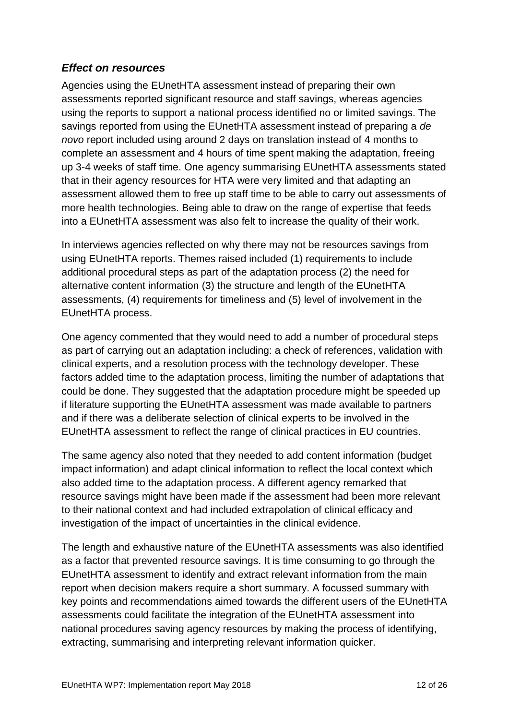# <span id="page-11-0"></span>*Effect on resources*

Agencies using the EUnetHTA assessment instead of preparing their own assessments reported significant resource and staff savings, whereas agencies using the reports to support a national process identified no or limited savings. The savings reported from using the EUnetHTA assessment instead of preparing a *de novo* report included using around 2 days on translation instead of 4 months to complete an assessment and 4 hours of time spent making the adaptation, freeing up 3-4 weeks of staff time. One agency summarising EUnetHTA assessments stated that in their agency resources for HTA were very limited and that adapting an assessment allowed them to free up staff time to be able to carry out assessments of more health technologies. Being able to draw on the range of expertise that feeds into a EUnetHTA assessment was also felt to increase the quality of their work.

In interviews agencies reflected on why there may not be resources savings from using EUnetHTA reports. Themes raised included (1) requirements to include additional procedural steps as part of the adaptation process (2) the need for alternative content information (3) the structure and length of the EUnetHTA assessments, (4) requirements for timeliness and (5) level of involvement in the EUnetHTA process.

One agency commented that they would need to add a number of procedural steps as part of carrying out an adaptation including: a check of references, validation with clinical experts, and a resolution process with the technology developer. These factors added time to the adaptation process, limiting the number of adaptations that could be done. They suggested that the adaptation procedure might be speeded up if literature supporting the EUnetHTA assessment was made available to partners and if there was a deliberate selection of clinical experts to be involved in the EUnetHTA assessment to reflect the range of clinical practices in EU countries.

The same agency also noted that they needed to add content information (budget impact information) and adapt clinical information to reflect the local context which also added time to the adaptation process. A different agency remarked that resource savings might have been made if the assessment had been more relevant to their national context and had included extrapolation of clinical efficacy and investigation of the impact of uncertainties in the clinical evidence.

The length and exhaustive nature of the EUnetHTA assessments was also identified as a factor that prevented resource savings. It is time consuming to go through the EUnetHTA assessment to identify and extract relevant information from the main report when decision makers require a short summary. A focussed summary with key points and recommendations aimed towards the different users of the EUnetHTA assessments could facilitate the integration of the EUnetHTA assessment into national procedures saving agency resources by making the process of identifying, extracting, summarising and interpreting relevant information quicker.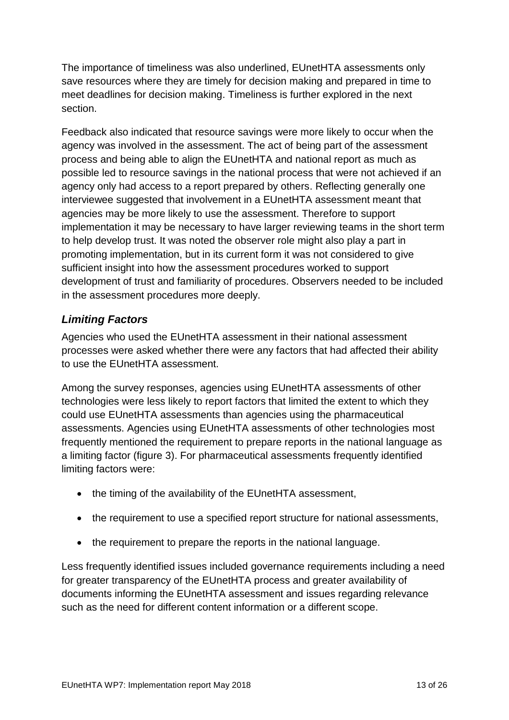The importance of timeliness was also underlined, EUnetHTA assessments only save resources where they are timely for decision making and prepared in time to meet deadlines for decision making. Timeliness is further explored in the next section.

Feedback also indicated that resource savings were more likely to occur when the agency was involved in the assessment. The act of being part of the assessment process and being able to align the EUnetHTA and national report as much as possible led to resource savings in the national process that were not achieved if an agency only had access to a report prepared by others. Reflecting generally one interviewee suggested that involvement in a EUnetHTA assessment meant that agencies may be more likely to use the assessment. Therefore to support implementation it may be necessary to have larger reviewing teams in the short term to help develop trust. It was noted the observer role might also play a part in promoting implementation, but in its current form it was not considered to give sufficient insight into how the assessment procedures worked to support development of trust and familiarity of procedures. Observers needed to be included in the assessment procedures more deeply.

# <span id="page-12-0"></span>*Limiting Factors*

Agencies who used the EUnetHTA assessment in their national assessment processes were asked whether there were any factors that had affected their ability to use the EUnetHTA assessment.

Among the survey responses, agencies using EUnetHTA assessments of other technologies were less likely to report factors that limited the extent to which they could use EUnetHTA assessments than agencies using the pharmaceutical assessments. Agencies using EUnetHTA assessments of other technologies most frequently mentioned the requirement to prepare reports in the national language as a limiting factor (figure 3). For pharmaceutical assessments frequently identified limiting factors were:

- the timing of the availability of the EUnetHTA assessment,
- the requirement to use a specified report structure for national assessments,
- the requirement to prepare the reports in the national language.

Less frequently identified issues included governance requirements including a need for greater transparency of the EUnetHTA process and greater availability of documents informing the EUnetHTA assessment and issues regarding relevance such as the need for different content information or a different scope.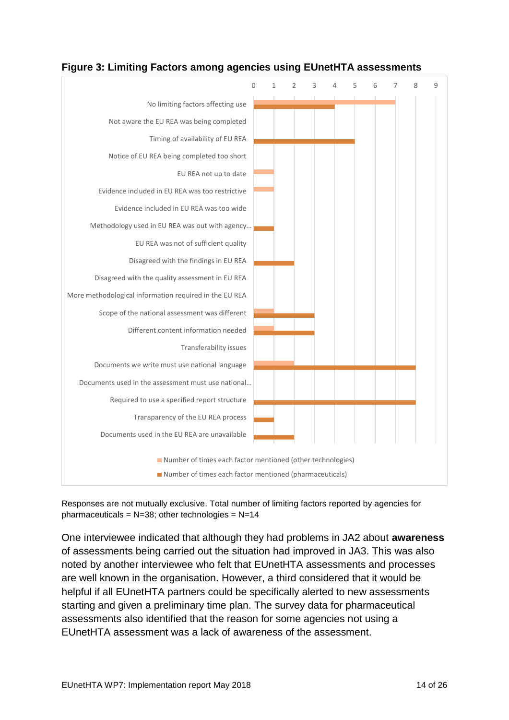

### <span id="page-13-0"></span>**Figure 3: Limiting Factors among agencies using EUnetHTA assessments**

Responses are not mutually exclusive. Total number of limiting factors reported by agencies for pharmaceuticals =  $N=38$ ; other technologies =  $N=14$ 

One interviewee indicated that although they had problems in JA2 about **awareness** of assessments being carried out the situation had improved in JA3. This was also noted by another interviewee who felt that EUnetHTA assessments and processes are well known in the organisation. However, a third considered that it would be helpful if all EUnetHTA partners could be specifically alerted to new assessments starting and given a preliminary time plan. The survey data for pharmaceutical assessments also identified that the reason for some agencies not using a EUnetHTA assessment was a lack of awareness of the assessment.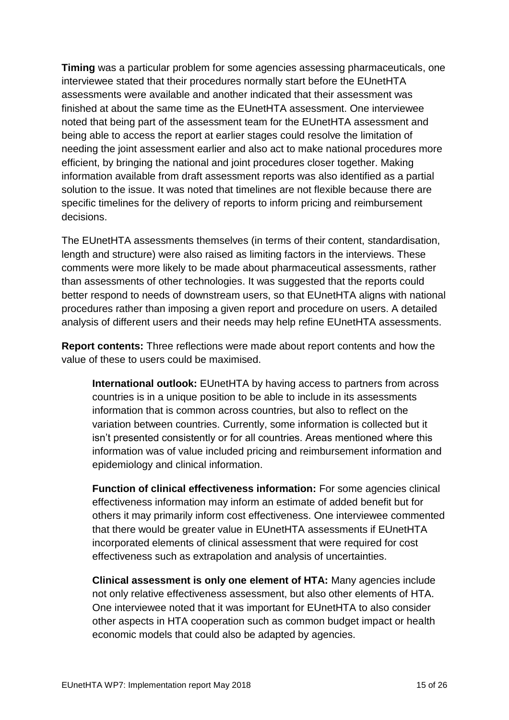**Timing** was a particular problem for some agencies assessing pharmaceuticals, one interviewee stated that their procedures normally start before the EUnetHTA assessments were available and another indicated that their assessment was finished at about the same time as the EUnetHTA assessment. One interviewee noted that being part of the assessment team for the EUnetHTA assessment and being able to access the report at earlier stages could resolve the limitation of needing the joint assessment earlier and also act to make national procedures more efficient, by bringing the national and joint procedures closer together. Making information available from draft assessment reports was also identified as a partial solution to the issue. It was noted that timelines are not flexible because there are specific timelines for the delivery of reports to inform pricing and reimbursement decisions.

The EUnetHTA assessments themselves (in terms of their content, standardisation, length and structure) were also raised as limiting factors in the interviews. These comments were more likely to be made about pharmaceutical assessments, rather than assessments of other technologies. It was suggested that the reports could better respond to needs of downstream users, so that EUnetHTA aligns with national procedures rather than imposing a given report and procedure on users. A detailed analysis of different users and their needs may help refine EUnetHTA assessments.

**Report contents:** Three reflections were made about report contents and how the value of these to users could be maximised.

**International outlook:** EUnetHTA by having access to partners from across countries is in a unique position to be able to include in its assessments information that is common across countries, but also to reflect on the variation between countries. Currently, some information is collected but it isn't presented consistently or for all countries. Areas mentioned where this information was of value included pricing and reimbursement information and epidemiology and clinical information.

**Function of clinical effectiveness information:** For some agencies clinical effectiveness information may inform an estimate of added benefit but for others it may primarily inform cost effectiveness. One interviewee commented that there would be greater value in EUnetHTA assessments if EUnetHTA incorporated elements of clinical assessment that were required for cost effectiveness such as extrapolation and analysis of uncertainties.

**Clinical assessment is only one element of HTA:** Many agencies include not only relative effectiveness assessment, but also other elements of HTA. One interviewee noted that it was important for EUnetHTA to also consider other aspects in HTA cooperation such as common budget impact or health economic models that could also be adapted by agencies.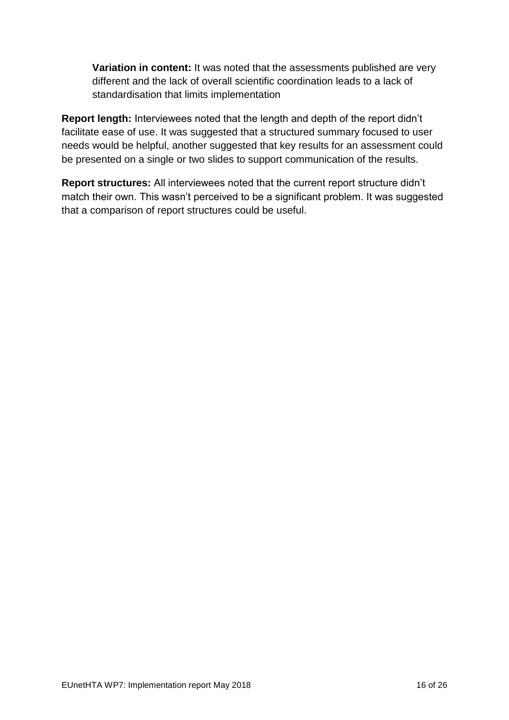**Variation in content:** It was noted that the assessments published are very different and the lack of overall scientific coordination leads to a lack of standardisation that limits implementation

**Report length:** Interviewees noted that the length and depth of the report didn't facilitate ease of use. It was suggested that a structured summary focused to user needs would be helpful, another suggested that key results for an assessment could be presented on a single or two slides to support communication of the results.

**Report structures:** All interviewees noted that the current report structure didn't match their own. This wasn't perceived to be a significant problem. It was suggested that a comparison of report structures could be useful.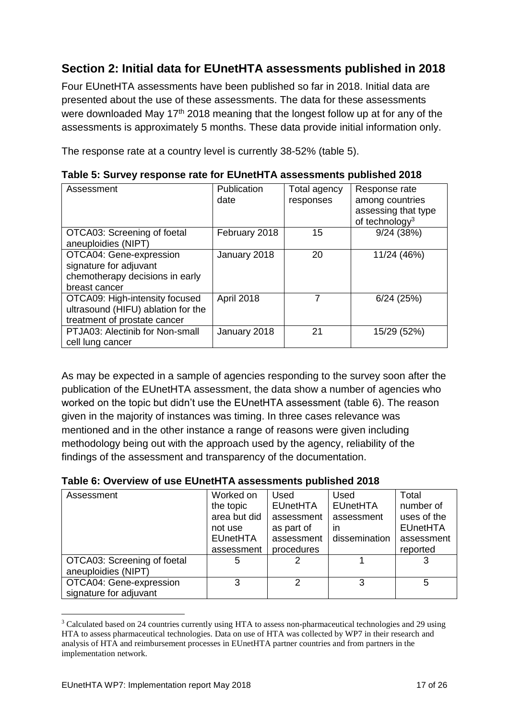# <span id="page-16-0"></span>**Section 2: Initial data for EUnetHTA assessments published in 2018**

Four EUnetHTA assessments have been published so far in 2018. Initial data are presented about the use of these assessments. The data for these assessments were downloaded May  $17<sup>th</sup>$  2018 meaning that the longest follow up at for any of the assessments is approximately 5 months. These data provide initial information only.

The response rate at a country level is currently 38-52% (table 5).

| Assessment                                         | Publication   | Total agency | Response rate                                     |
|----------------------------------------------------|---------------|--------------|---------------------------------------------------|
|                                                    | date          | responses    | among countries                                   |
|                                                    |               |              | assessing that type<br>of technology <sup>3</sup> |
| OTCA03: Screening of foetal<br>aneuploidies (NIPT) | February 2018 | 15           | 9/24(38%)                                         |
| OTCA04: Gene-expression                            | January 2018  | 20           | 11/24 (46%)                                       |
| signature for adjuvant                             |               |              |                                                   |
| chemotherapy decisions in early                    |               |              |                                                   |
| breast cancer                                      |               |              |                                                   |
| OTCA09: High-intensity focused                     | April 2018    | 7            | $6/24$ (25%)                                      |
| ultrasound (HIFU) ablation for the                 |               |              |                                                   |
| treatment of prostate cancer                       |               |              |                                                   |
| PTJA03: Alectinib for Non-small                    | January 2018  | 21           | 15/29 (52%)                                       |
| cell lung cancer                                   |               |              |                                                   |

<span id="page-16-1"></span>**Table 5: Survey response rate for EUnetHTA assessments published 2018**

As may be expected in a sample of agencies responding to the survey soon after the publication of the EUnetHTA assessment, the data show a number of agencies who worked on the topic but didn't use the EUnetHTA assessment (table 6). The reason given in the majority of instances was timing. In three cases relevance was mentioned and in the other instance a range of reasons were given including methodology being out with the approach used by the agency, reliability of the findings of the assessment and transparency of the documentation.

| Assessment                                         | Worked on<br>the topic<br>area but did<br>not use<br><b>EUnetHTA</b><br>assessment | <b>Used</b><br><b>EUnetHTA</b><br>assessment<br>as part of<br>assessment<br>procedures | <b>Used</b><br><b>EUnetHTA</b><br>assessment<br>ın<br>dissemination | Total<br>number of<br>uses of the<br><b>EUnetHTA</b><br>assessment<br>reported |
|----------------------------------------------------|------------------------------------------------------------------------------------|----------------------------------------------------------------------------------------|---------------------------------------------------------------------|--------------------------------------------------------------------------------|
| OTCA03: Screening of foetal<br>aneuploidies (NIPT) | 5                                                                                  |                                                                                        |                                                                     |                                                                                |
| OTCA04: Gene-expression<br>signature for adjuvant  | 3                                                                                  | 2                                                                                      | 3                                                                   | 5                                                                              |

<span id="page-16-2"></span>**Table 6: Overview of use EUnetHTA assessments published 2018**

1

<sup>3</sup> Calculated based on 24 countries currently using HTA to assess non-pharmaceutical technologies and 29 using HTA to assess pharmaceutical technologies. Data on use of HTA was collected by WP7 in their research and analysis of HTA and reimbursement processes in EUnetHTA partner countries and from partners in the implementation network.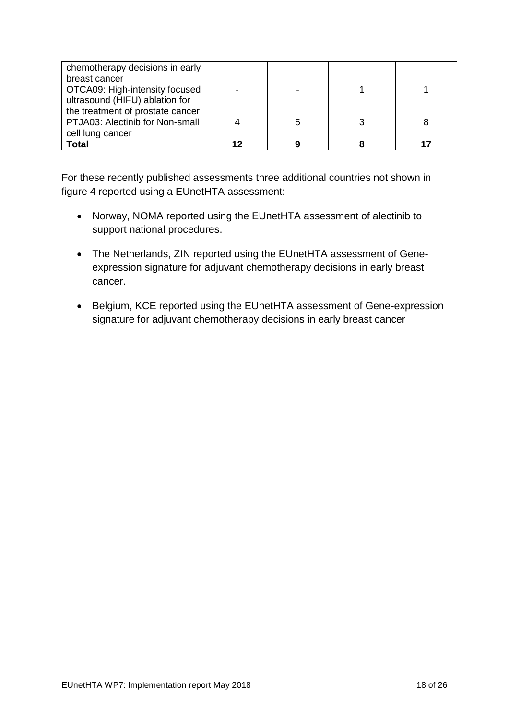| chemotherapy decisions in early  |   |  |
|----------------------------------|---|--|
| breast cancer                    |   |  |
| OTCA09: High-intensity focused   |   |  |
| ultrasound (HIFU) ablation for   |   |  |
| the treatment of prostate cancer |   |  |
| PTJA03: Alectinib for Non-small  | 5 |  |
| cell lung cancer                 |   |  |
| <b>Total</b>                     |   |  |

For these recently published assessments three additional countries not shown in figure 4 reported using a EUnetHTA assessment:

- Norway, NOMA reported using the EUnetHTA assessment of alectinib to support national procedures.
- The Netherlands, ZIN reported using the EUnetHTA assessment of Geneexpression signature for adjuvant chemotherapy decisions in early breast cancer.
- Belgium, KCE reported using the EUnetHTA assessment of Gene-expression signature for adjuvant chemotherapy decisions in early breast cancer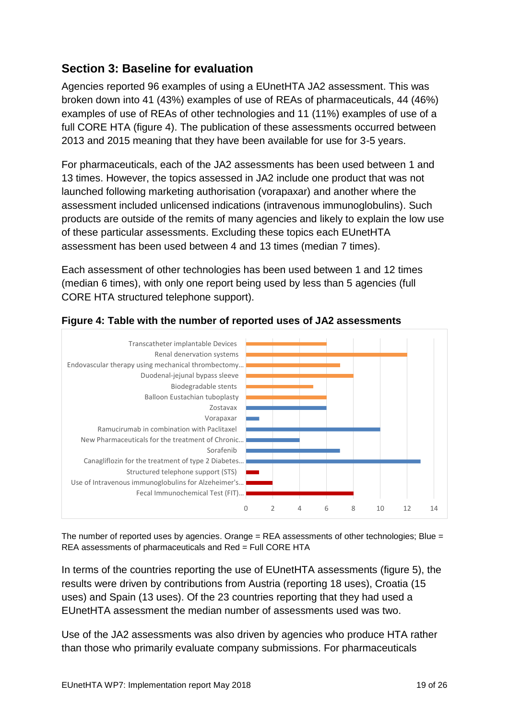# <span id="page-18-0"></span>**Section 3: Baseline for evaluation**

Agencies reported 96 examples of using a EUnetHTA JA2 assessment. This was broken down into 41 (43%) examples of use of REAs of pharmaceuticals, 44 (46%) examples of use of REAs of other technologies and 11 (11%) examples of use of a full CORE HTA (figure 4). The publication of these assessments occurred between 2013 and 2015 meaning that they have been available for use for 3-5 years.

For pharmaceuticals, each of the JA2 assessments has been used between 1 and 13 times. However, the topics assessed in JA2 include one product that was not launched following marketing authorisation (vorapaxar) and another where the assessment included unlicensed indications (intravenous immunoglobulins). Such products are outside of the remits of many agencies and likely to explain the low use of these particular assessments. Excluding these topics each EUnetHTA assessment has been used between 4 and 13 times (median 7 times).

Each assessment of other technologies has been used between 1 and 12 times (median 6 times), with only one report being used by less than 5 agencies (full CORE HTA structured telephone support).



### <span id="page-18-1"></span>**Figure 4: Table with the number of reported uses of JA2 assessments**

The number of reported uses by agencies. Orange  $=$  REA assessments of other technologies; Blue  $=$ REA assessments of pharmaceuticals and Red = Full CORE HTA

In terms of the countries reporting the use of EUnetHTA assessments (figure 5), the results were driven by contributions from Austria (reporting 18 uses), Croatia (15 uses) and Spain (13 uses). Of the 23 countries reporting that they had used a EUnetHTA assessment the median number of assessments used was two.

Use of the JA2 assessments was also driven by agencies who produce HTA rather than those who primarily evaluate company submissions. For pharmaceuticals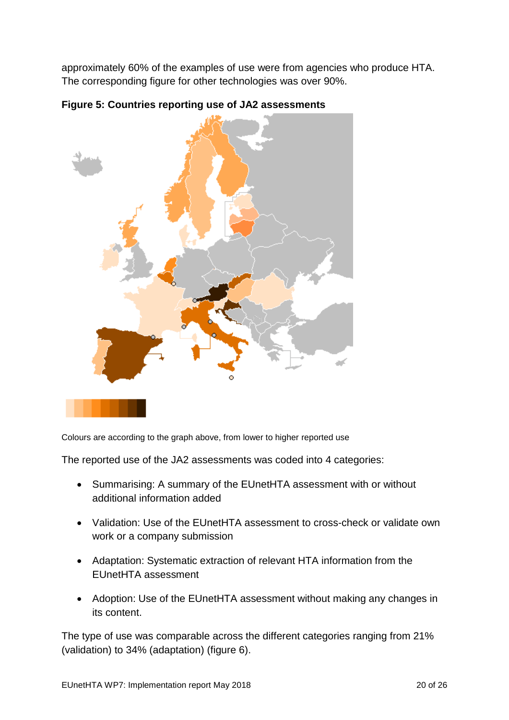approximately 60% of the examples of use were from agencies who produce HTA. The corresponding figure for other technologies was over 90%.



<span id="page-19-0"></span>**Figure 5: Countries reporting use of JA2 assessments**

Colours are according to the graph above, from lower to higher reported use

The reported use of the JA2 assessments was coded into 4 categories:

- Summarising: A summary of the EUnetHTA assessment with or without additional information added
- Validation: Use of the EUnetHTA assessment to cross-check or validate own work or a company submission
- Adaptation: Systematic extraction of relevant HTA information from the EUnetHTA assessment
- Adoption: Use of the EUnetHTA assessment without making any changes in its content.

The type of use was comparable across the different categories ranging from 21% (validation) to 34% (adaptation) (figure 6).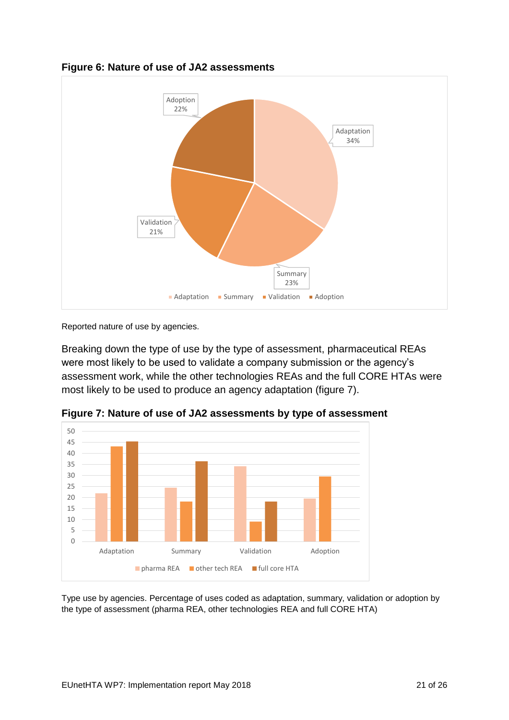

### <span id="page-20-0"></span>**Figure 6: Nature of use of JA2 assessments**

Reported nature of use by agencies.

Breaking down the type of use by the type of assessment, pharmaceutical REAs were most likely to be used to validate a company submission or the agency's assessment work, while the other technologies REAs and the full CORE HTAs were most likely to be used to produce an agency adaptation (figure 7).



<span id="page-20-1"></span>**Figure 7: Nature of use of JA2 assessments by type of assessment**

Type use by agencies. Percentage of uses coded as adaptation, summary, validation or adoption by the type of assessment (pharma REA, other technologies REA and full CORE HTA)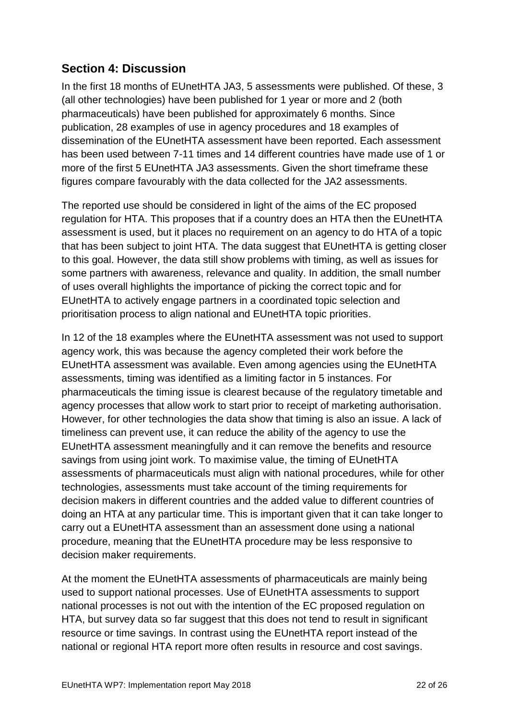# <span id="page-21-0"></span>**Section 4: Discussion**

In the first 18 months of EUnetHTA JA3, 5 assessments were published. Of these, 3 (all other technologies) have been published for 1 year or more and 2 (both pharmaceuticals) have been published for approximately 6 months. Since publication, 28 examples of use in agency procedures and 18 examples of dissemination of the EUnetHTA assessment have been reported. Each assessment has been used between 7-11 times and 14 different countries have made use of 1 or more of the first 5 EUnetHTA JA3 assessments. Given the short timeframe these figures compare favourably with the data collected for the JA2 assessments.

The reported use should be considered in light of the aims of the EC proposed regulation for HTA. This proposes that if a country does an HTA then the EUnetHTA assessment is used, but it places no requirement on an agency to do HTA of a topic that has been subject to joint HTA. The data suggest that EUnetHTA is getting closer to this goal. However, the data still show problems with timing, as well as issues for some partners with awareness, relevance and quality. In addition, the small number of uses overall highlights the importance of picking the correct topic and for EUnetHTA to actively engage partners in a coordinated topic selection and prioritisation process to align national and EUnetHTA topic priorities.

In 12 of the 18 examples where the EUnetHTA assessment was not used to support agency work, this was because the agency completed their work before the EUnetHTA assessment was available. Even among agencies using the EUnetHTA assessments, timing was identified as a limiting factor in 5 instances. For pharmaceuticals the timing issue is clearest because of the regulatory timetable and agency processes that allow work to start prior to receipt of marketing authorisation. However, for other technologies the data show that timing is also an issue. A lack of timeliness can prevent use, it can reduce the ability of the agency to use the EUnetHTA assessment meaningfully and it can remove the benefits and resource savings from using joint work. To maximise value, the timing of EUnetHTA assessments of pharmaceuticals must align with national procedures, while for other technologies, assessments must take account of the timing requirements for decision makers in different countries and the added value to different countries of doing an HTA at any particular time. This is important given that it can take longer to carry out a EUnetHTA assessment than an assessment done using a national procedure, meaning that the EUnetHTA procedure may be less responsive to decision maker requirements.

At the moment the EUnetHTA assessments of pharmaceuticals are mainly being used to support national processes. Use of EUnetHTA assessments to support national processes is not out with the intention of the EC proposed regulation on HTA, but survey data so far suggest that this does not tend to result in significant resource or time savings. In contrast using the EUnetHTA report instead of the national or regional HTA report more often results in resource and cost savings.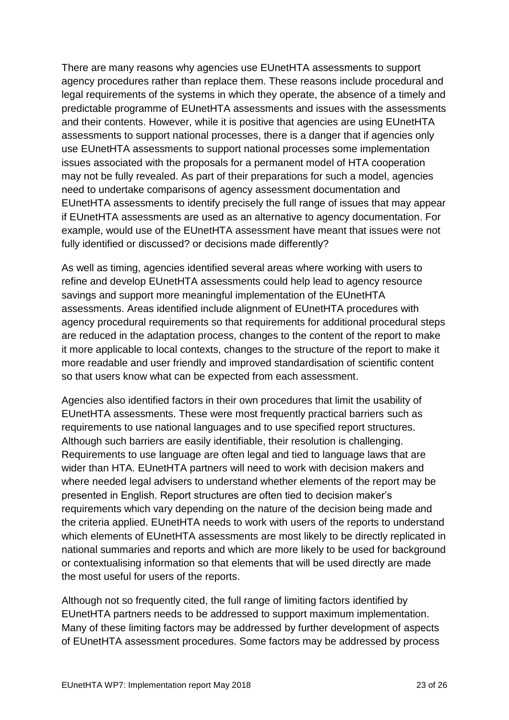There are many reasons why agencies use EUnetHTA assessments to support agency procedures rather than replace them. These reasons include procedural and legal requirements of the systems in which they operate, the absence of a timely and predictable programme of EUnetHTA assessments and issues with the assessments and their contents. However, while it is positive that agencies are using EUnetHTA assessments to support national processes, there is a danger that if agencies only use EUnetHTA assessments to support national processes some implementation issues associated with the proposals for a permanent model of HTA cooperation may not be fully revealed. As part of their preparations for such a model, agencies need to undertake comparisons of agency assessment documentation and EUnetHTA assessments to identify precisely the full range of issues that may appear if EUnetHTA assessments are used as an alternative to agency documentation. For example, would use of the EUnetHTA assessment have meant that issues were not fully identified or discussed? or decisions made differently?

As well as timing, agencies identified several areas where working with users to refine and develop EUnetHTA assessments could help lead to agency resource savings and support more meaningful implementation of the EUnetHTA assessments. Areas identified include alignment of EUnetHTA procedures with agency procedural requirements so that requirements for additional procedural steps are reduced in the adaptation process, changes to the content of the report to make it more applicable to local contexts, changes to the structure of the report to make it more readable and user friendly and improved standardisation of scientific content so that users know what can be expected from each assessment.

Agencies also identified factors in their own procedures that limit the usability of EUnetHTA assessments. These were most frequently practical barriers such as requirements to use national languages and to use specified report structures. Although such barriers are easily identifiable, their resolution is challenging. Requirements to use language are often legal and tied to language laws that are wider than HTA. EUnetHTA partners will need to work with decision makers and where needed legal advisers to understand whether elements of the report may be presented in English. Report structures are often tied to decision maker's requirements which vary depending on the nature of the decision being made and the criteria applied. EUnetHTA needs to work with users of the reports to understand which elements of EUnetHTA assessments are most likely to be directly replicated in national summaries and reports and which are more likely to be used for background or contextualising information so that elements that will be used directly are made the most useful for users of the reports.

Although not so frequently cited, the full range of limiting factors identified by EUnetHTA partners needs to be addressed to support maximum implementation. Many of these limiting factors may be addressed by further development of aspects of EUnetHTA assessment procedures. Some factors may be addressed by process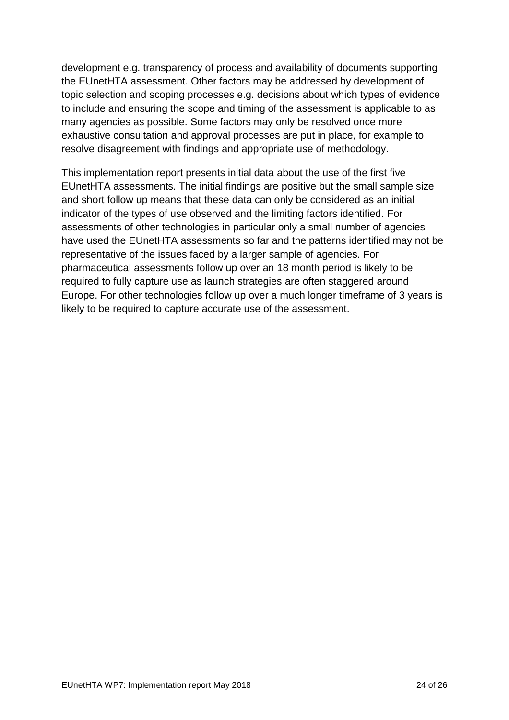development e.g. transparency of process and availability of documents supporting the EUnetHTA assessment. Other factors may be addressed by development of topic selection and scoping processes e.g. decisions about which types of evidence to include and ensuring the scope and timing of the assessment is applicable to as many agencies as possible. Some factors may only be resolved once more exhaustive consultation and approval processes are put in place, for example to resolve disagreement with findings and appropriate use of methodology.

This implementation report presents initial data about the use of the first five EUnetHTA assessments. The initial findings are positive but the small sample size and short follow up means that these data can only be considered as an initial indicator of the types of use observed and the limiting factors identified. For assessments of other technologies in particular only a small number of agencies have used the EUnetHTA assessments so far and the patterns identified may not be representative of the issues faced by a larger sample of agencies. For pharmaceutical assessments follow up over an 18 month period is likely to be required to fully capture use as launch strategies are often staggered around Europe. For other technologies follow up over a much longer timeframe of 3 years is likely to be required to capture accurate use of the assessment.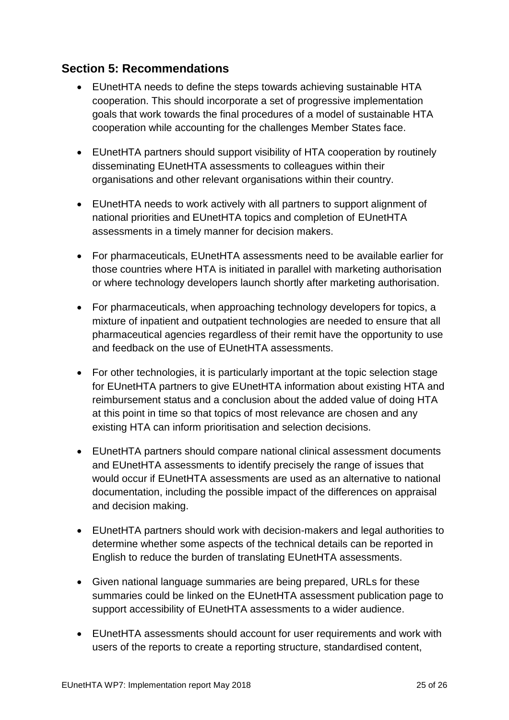# <span id="page-24-0"></span>**Section 5: Recommendations**

- EUnetHTA needs to define the steps towards achieving sustainable HTA cooperation. This should incorporate a set of progressive implementation goals that work towards the final procedures of a model of sustainable HTA cooperation while accounting for the challenges Member States face.
- EUnetHTA partners should support visibility of HTA cooperation by routinely disseminating EUnetHTA assessments to colleagues within their organisations and other relevant organisations within their country.
- EUnetHTA needs to work actively with all partners to support alignment of national priorities and EUnetHTA topics and completion of EUnetHTA assessments in a timely manner for decision makers.
- For pharmaceuticals, EUnetHTA assessments need to be available earlier for those countries where HTA is initiated in parallel with marketing authorisation or where technology developers launch shortly after marketing authorisation.
- For pharmaceuticals, when approaching technology developers for topics, a mixture of inpatient and outpatient technologies are needed to ensure that all pharmaceutical agencies regardless of their remit have the opportunity to use and feedback on the use of EUnetHTA assessments.
- For other technologies, it is particularly important at the topic selection stage for EUnetHTA partners to give EUnetHTA information about existing HTA and reimbursement status and a conclusion about the added value of doing HTA at this point in time so that topics of most relevance are chosen and any existing HTA can inform prioritisation and selection decisions.
- EUnetHTA partners should compare national clinical assessment documents and EUnetHTA assessments to identify precisely the range of issues that would occur if EUnetHTA assessments are used as an alternative to national documentation, including the possible impact of the differences on appraisal and decision making.
- EUnetHTA partners should work with decision-makers and legal authorities to determine whether some aspects of the technical details can be reported in English to reduce the burden of translating EUnetHTA assessments.
- Given national language summaries are being prepared, URLs for these summaries could be linked on the EUnetHTA assessment publication page to support accessibility of EUnetHTA assessments to a wider audience.
- EUnetHTA assessments should account for user requirements and work with users of the reports to create a reporting structure, standardised content,